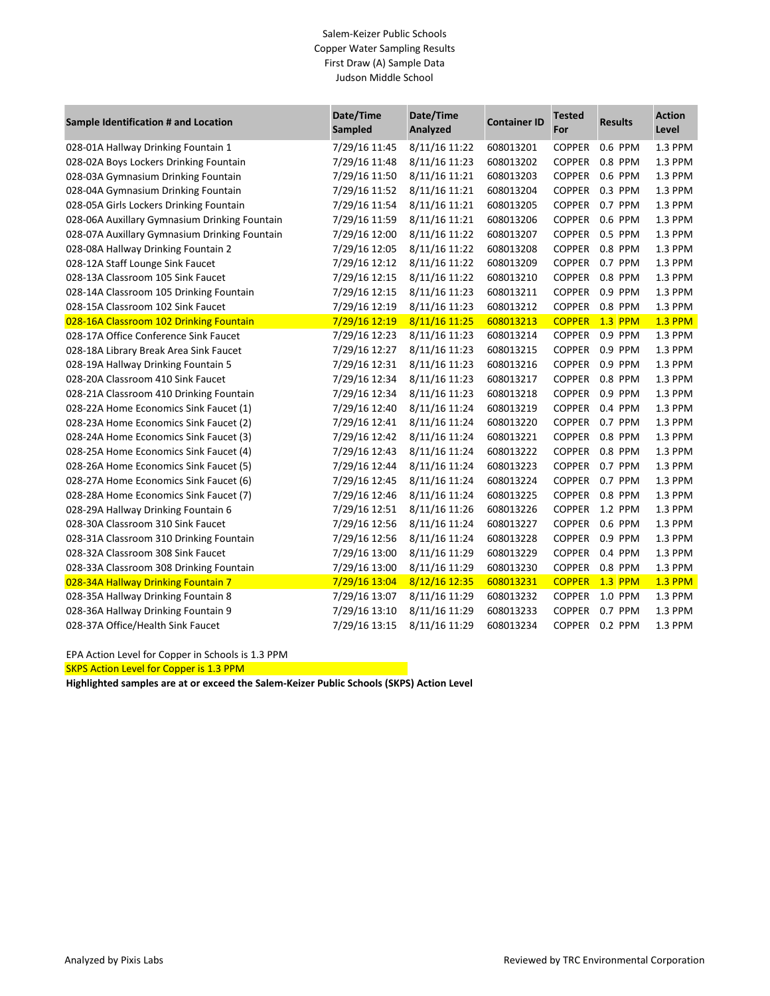### Salem-Keizer Public Schools Copper Water Sampling Results First Draw (A) Sample Data Judson Middle School

| Sample Identification # and Location          | Date/Time<br>Sampled | Date/Time<br>Analyzed | <b>Container ID</b> | <b>Tested</b><br>For | <b>Results</b> | <b>Action</b><br>Level |
|-----------------------------------------------|----------------------|-----------------------|---------------------|----------------------|----------------|------------------------|
| 028-01A Hallway Drinking Fountain 1           | 7/29/16 11:45        | 8/11/16 11:22         | 608013201           | <b>COPPER</b>        | 0.6 PPM        | 1.3 PPM                |
| 028-02A Boys Lockers Drinking Fountain        | 7/29/16 11:48        | 8/11/16 11:23         | 608013202           | <b>COPPER</b>        | 0.8 PPM        | 1.3 PPM                |
| 028-03A Gymnasium Drinking Fountain           | 7/29/16 11:50        | 8/11/16 11:21         | 608013203           | <b>COPPER</b>        | 0.6 PPM        | 1.3 PPM                |
| 028-04A Gymnasium Drinking Fountain           | 7/29/16 11:52        | 8/11/16 11:21         | 608013204           | <b>COPPER</b>        | 0.3 PPM        | 1.3 PPM                |
| 028-05A Girls Lockers Drinking Fountain       | 7/29/16 11:54        | 8/11/16 11:21         | 608013205           | <b>COPPER</b>        | 0.7 PPM        | 1.3 PPM                |
| 028-06A Auxillary Gymnasium Drinking Fountain | 7/29/16 11:59        | 8/11/16 11:21         | 608013206           | <b>COPPER</b>        | 0.6 PPM        | 1.3 PPM                |
| 028-07A Auxillary Gymnasium Drinking Fountain | 7/29/16 12:00        | 8/11/16 11:22         | 608013207           | <b>COPPER</b>        | 0.5 PPM        | 1.3 PPM                |
| 028-08A Hallway Drinking Fountain 2           | 7/29/16 12:05        | 8/11/16 11:22         | 608013208           | <b>COPPER</b>        | 0.8 PPM        | 1.3 PPM                |
| 028-12A Staff Lounge Sink Faucet              | 7/29/16 12:12        | 8/11/16 11:22         | 608013209           | <b>COPPER</b>        | 0.7 PPM        | 1.3 PPM                |
| 028-13A Classroom 105 Sink Faucet             | 7/29/16 12:15        | 8/11/16 11:22         | 608013210           | <b>COPPER</b>        | 0.8 PPM        | 1.3 PPM                |
| 028-14A Classroom 105 Drinking Fountain       | 7/29/16 12:15        | 8/11/16 11:23         | 608013211           | <b>COPPER</b>        | 0.9 PPM        | 1.3 PPM                |
| 028-15A Classroom 102 Sink Faucet             | 7/29/16 12:19        | 8/11/16 11:23         | 608013212           | <b>COPPER</b>        | 0.8 PPM        | 1.3 PPM                |
| 028-16A Classroom 102 Drinking Fountain       | 7/29/16 12:19        | 8/11/16 11:25         | 608013213           | <b>COPPER</b>        | <b>1.3 PPM</b> | <b>1.3 PPM</b>         |
| 028-17A Office Conference Sink Faucet         | 7/29/16 12:23        | 8/11/16 11:23         | 608013214           | <b>COPPER</b>        | 0.9 PPM        | 1.3 PPM                |
| 028-18A Library Break Area Sink Faucet        | 7/29/16 12:27        | 8/11/16 11:23         | 608013215           | <b>COPPER</b>        | 0.9 PPM        | 1.3 PPM                |
| 028-19A Hallway Drinking Fountain 5           | 7/29/16 12:31        | 8/11/16 11:23         | 608013216           | <b>COPPER</b>        | 0.9 PPM        | 1.3 PPM                |
| 028-20A Classroom 410 Sink Faucet             | 7/29/16 12:34        | 8/11/16 11:23         | 608013217           | <b>COPPER</b>        | 0.8 PPM        | 1.3 PPM                |
| 028-21A Classroom 410 Drinking Fountain       | 7/29/16 12:34        | 8/11/16 11:23         | 608013218           | <b>COPPER</b>        | 0.9 PPM        | 1.3 PPM                |
| 028-22A Home Economics Sink Faucet (1)        | 7/29/16 12:40        | 8/11/16 11:24         | 608013219           | <b>COPPER</b>        | 0.4 PPM        | 1.3 PPM                |
| 028-23A Home Economics Sink Faucet (2)        | 7/29/16 12:41        | 8/11/16 11:24         | 608013220           | <b>COPPER</b>        | 0.7 PPM        | 1.3 PPM                |
| 028-24A Home Economics Sink Faucet (3)        | 7/29/16 12:42        | 8/11/16 11:24         | 608013221           | <b>COPPER</b>        | 0.8 PPM        | 1.3 PPM                |
| 028-25A Home Economics Sink Faucet (4)        | 7/29/16 12:43        | 8/11/16 11:24         | 608013222           | <b>COPPER</b>        | 0.8 PPM        | 1.3 PPM                |
| 028-26A Home Economics Sink Faucet (5)        | 7/29/16 12:44        | 8/11/16 11:24         | 608013223           | <b>COPPER</b>        | 0.7 PPM        | 1.3 PPM                |
| 028-27A Home Economics Sink Faucet (6)        | 7/29/16 12:45        | 8/11/16 11:24         | 608013224           | <b>COPPER</b>        | 0.7 PPM        | 1.3 PPM                |
| 028-28A Home Economics Sink Faucet (7)        | 7/29/16 12:46        | 8/11/16 11:24         | 608013225           | <b>COPPER</b>        | 0.8 PPM        | 1.3 PPM                |
| 028-29A Hallway Drinking Fountain 6           | 7/29/16 12:51        | 8/11/16 11:26         | 608013226           | <b>COPPER</b>        | 1.2 PPM        | 1.3 PPM                |
| 028-30A Classroom 310 Sink Faucet             | 7/29/16 12:56        | 8/11/16 11:24         | 608013227           | <b>COPPER</b>        | 0.6 PPM        | 1.3 PPM                |
| 028-31A Classroom 310 Drinking Fountain       | 7/29/16 12:56        | 8/11/16 11:24         | 608013228           | <b>COPPER</b>        | 0.9 PPM        | 1.3 PPM                |
| 028-32A Classroom 308 Sink Faucet             | 7/29/16 13:00        | 8/11/16 11:29         | 608013229           | <b>COPPER</b>        | 0.4 PPM        | 1.3 PPM                |
| 028-33A Classroom 308 Drinking Fountain       | 7/29/16 13:00        | 8/11/16 11:29         | 608013230           | <b>COPPER</b>        | 0.8 PPM        | 1.3 PPM                |
| 028-34A Hallway Drinking Fountain 7           | 7/29/16 13:04        | 8/12/16 12:35         | 608013231           | <b>COPPER</b>        | <b>1.3 PPM</b> | <b>1.3 PPM</b>         |
| 028-35A Hallway Drinking Fountain 8           | 7/29/16 13:07        | 8/11/16 11:29         | 608013232           | <b>COPPER</b>        | 1.0 PPM        | 1.3 PPM                |
| 028-36A Hallway Drinking Fountain 9           | 7/29/16 13:10        | 8/11/16 11:29         | 608013233           | <b>COPPER</b>        | 0.7 PPM        | 1.3 PPM                |
| 028-37A Office/Health Sink Faucet             | 7/29/16 13:15        | 8/11/16 11:29         | 608013234           | <b>COPPER</b>        | 0.2 PPM        | 1.3 PPM                |

EPA Action Level for Copper in Schools is 1.3 PPM

SKPS Action Level for Copper is 1.3 PPM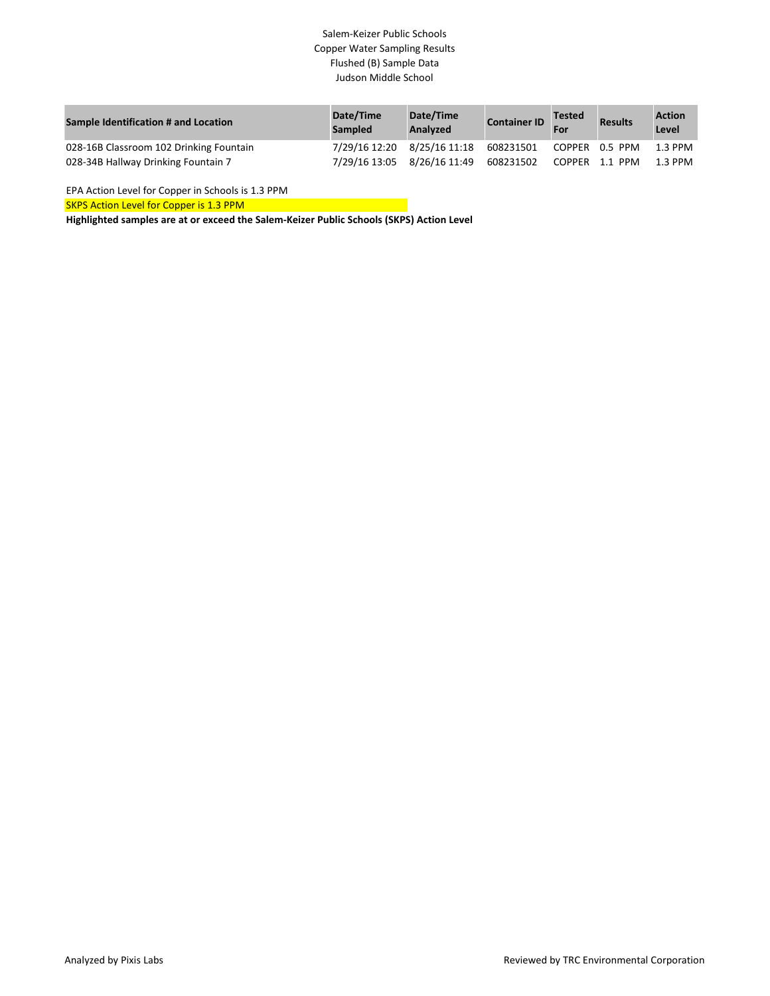### Salem-Keizer Public Schools Copper Water Sampling Results Flushed (B) Sample Data Judson Middle School

| Sample Identification # and Location    | Date/Time<br><b>Sampled</b> | Date/Time<br><b>Analyzed</b> | <b>Container ID</b> | <b>Tested</b><br>For | <b>Results</b> | <b>Action</b><br>Level |
|-----------------------------------------|-----------------------------|------------------------------|---------------------|----------------------|----------------|------------------------|
| 028-16B Classroom 102 Drinking Fountain | 7/29/16 12:20 8/25/16 11:18 |                              | 608231501           |                      | COPPER 0.5 PPM | 1.3 PPM                |
| 028-34B Hallway Drinking Fountain 7     | 7/29/16 13:05               | 8/26/16 11:49                | 608231502           |                      | COPPER 1.1 PPM | 1.3 PPM                |

EPA Action Level for Copper in Schools is 1.3 PPM

SKPS Action Level for Copper is 1.3 PPM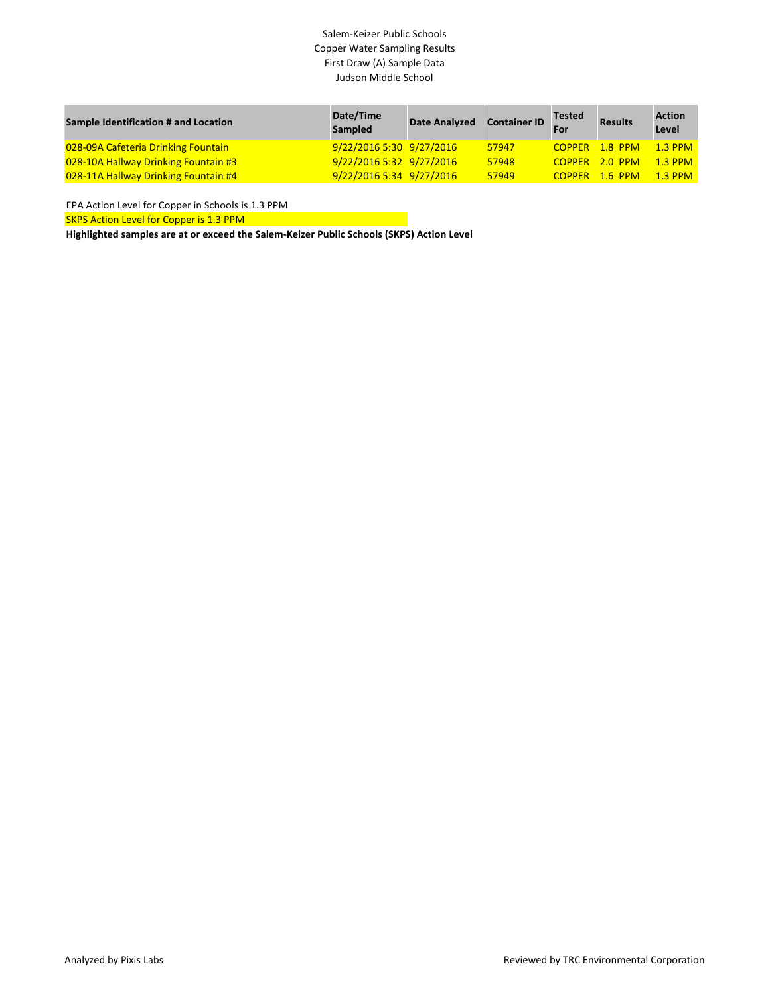# Salem-Keizer Public Schools Copper Water Sampling Results First Draw (A) Sample Data Judson Middle School

| Sample Identification # and Location | Date/Time<br>Sampled     | <b>Date Analyzed</b> | <b>Container ID</b> | <b>Tested</b><br>For | <b>Results</b> | <b>Action</b><br>Level |
|--------------------------------------|--------------------------|----------------------|---------------------|----------------------|----------------|------------------------|
| 028-09A Cafeteria Drinking Fountain  | 9/22/20165:309/27/2016   |                      | 57947               | COPPER 1.8 PPM       |                | $1.3$ PPM              |
| 028-10A Hallway Drinking Fountain #3 | 9/22/2016 5:32 9/27/2016 |                      | 57948               | COPPER 2.0 PPM       |                | $1.3$ PPM              |
| 028-11A Hallway Drinking Fountain #4 | 9/22/2016 5:34 9/27/2016 |                      | 57949               | COPPER 1.6 PPM       |                | $1.3$ PPM              |

EPA Action Level for Copper in Schools is 1.3 PPM

SKPS Action Level for Copper is 1.3 PPM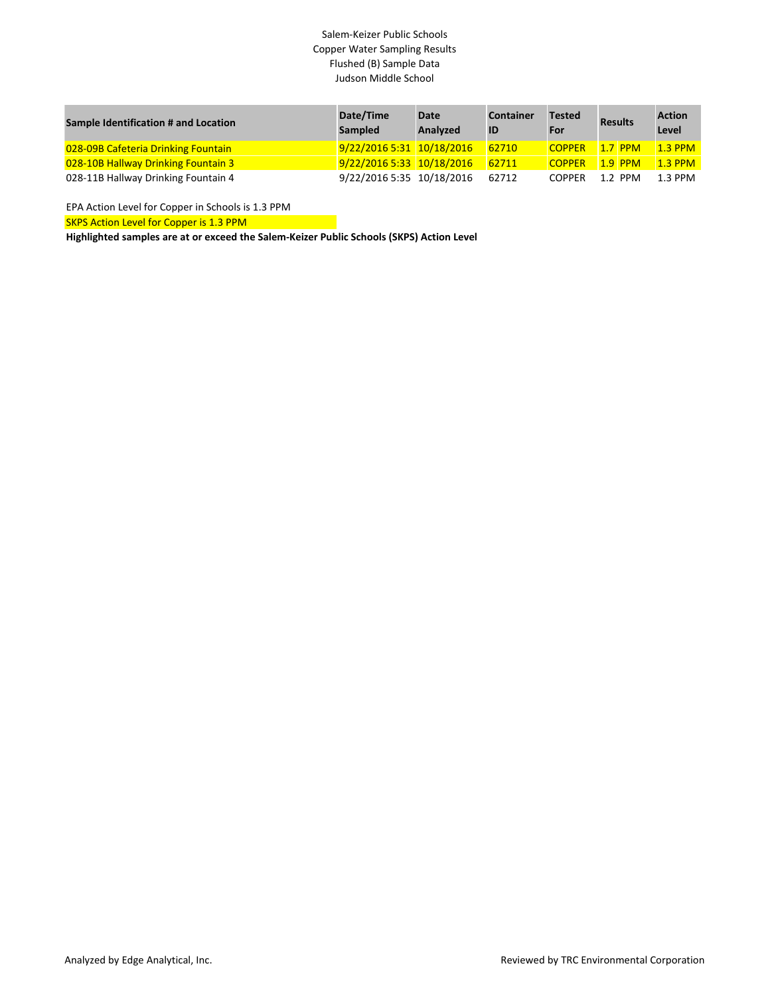# Salem-Keizer Public Schools Copper Water Sampling Results Flushed (B) Sample Data Judson Middle School

| Sample Identification # and Location | Date/Time<br><b>Sampled</b> | Date<br><b>Analyzed</b> | <b>Container</b><br>ID | <b>Tested</b><br>For | <b>Results</b> | <b>Action</b><br>Level |
|--------------------------------------|-----------------------------|-------------------------|------------------------|----------------------|----------------|------------------------|
| 028-09B Cafeteria Drinking Fountain  | 9/22/2016 5:31 10/18/2016   |                         | 62710                  | <b>COPPER</b>        | $1.7$ PPM      | $1.3$ PPM              |
| 028-10B Hallway Drinking Fountain 3  | 9/22/2016 5:33 10/18/2016   |                         | 62711                  | <b>COPPER</b>        | $1.9$ PPM      | <b>1.3 PPM</b>         |
| 028-11B Hallway Drinking Fountain 4  | 9/22/2016 5:35 10/18/2016   |                         | 62712                  | <b>COPPER</b>        | $1.2$ PPM      | 1.3 PPM                |

EPA Action Level for Copper in Schools is 1.3 PPM

SKPS Action Level for Copper is 1.3 PPM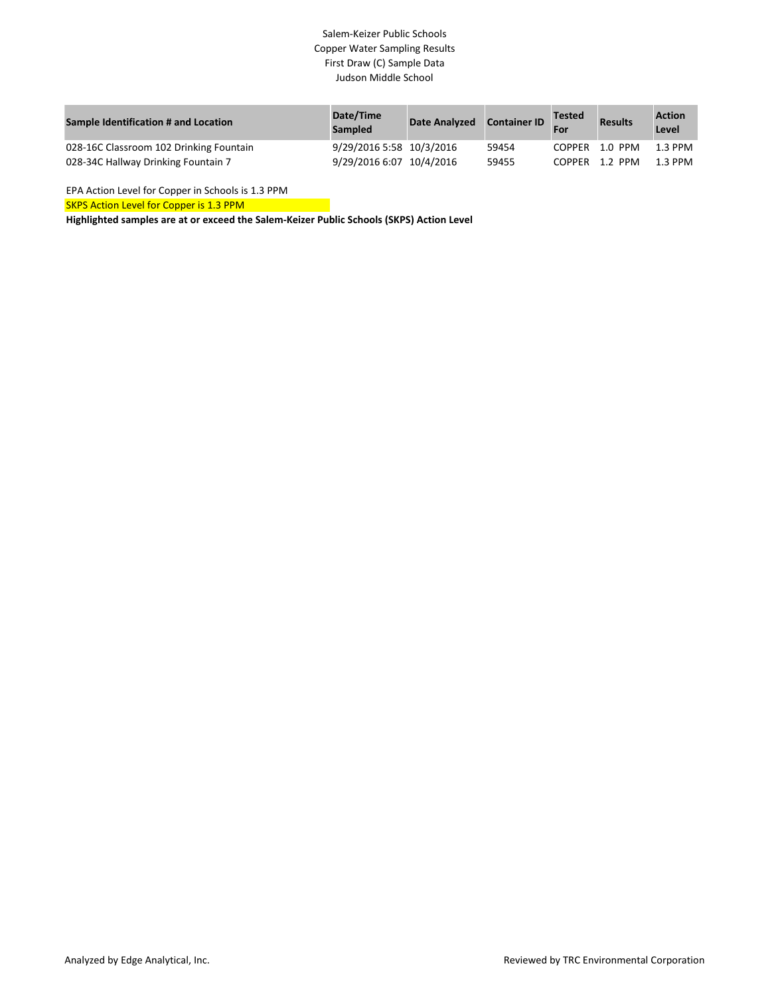# Salem-Keizer Public Schools Copper Water Sampling Results First Draw (C) Sample Data Judson Middle School

| Sample Identification # and Location    | Date/Time<br><b>Sampled</b> | Date Analyzed Container ID |       | <b>Tested</b><br>For | <b>Results</b> | <b>Action</b><br>Level |
|-----------------------------------------|-----------------------------|----------------------------|-------|----------------------|----------------|------------------------|
| 028-16C Classroom 102 Drinking Fountain | 9/29/2016 5:58 10/3/2016    |                            | 59454 |                      | COPPER 1.0 PPM | 1.3 PPM                |
| 028-34C Hallway Drinking Fountain 7     | 9/29/2016 6:07 10/4/2016    |                            | 59455 |                      | COPPER 1.2 PPM | 1.3 PPM                |

EPA Action Level for Copper in Schools is 1.3 PPM

SKPS Action Level for Copper is 1.3 PPM